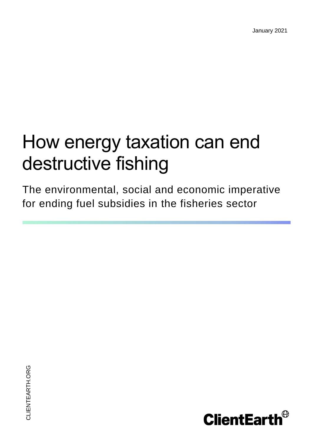January 2021

# How energy taxation can end destructive fishing

The environmental, social and economic imperative for ending fuel subsidies in the fisheries sector

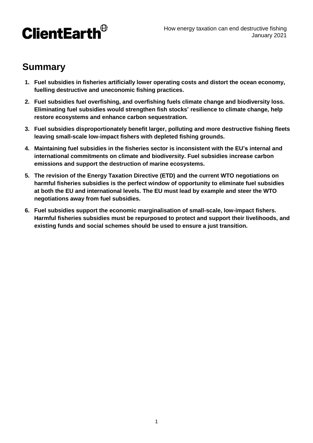

## **Summary**

- **1. Fuel subsidies in fisheries artificially lower operating costs and distort the ocean economy, fuelling destructive and uneconomic fishing practices.**
- **2. Fuel subsidies fuel overfishing, and overfishing fuels climate change and biodiversity loss. Eliminating fuel subsidies would strengthen fish stocks' resilience to climate change, help restore ecosystems and enhance carbon sequestration.**
- **3. Fuel subsidies disproportionately benefit larger, polluting and more destructive fishing fleets leaving small-scale low-impact fishers with depleted fishing grounds.**
- **4. Maintaining fuel subsidies in the fisheries sector is inconsistent with the EU's internal and international commitments on climate and biodiversity. Fuel subsidies increase carbon emissions and support the destruction of marine ecosystems.**
- **5. The revision of the Energy Taxation Directive (ETD) and the current WTO negotiations on harmful fisheries subsidies is the perfect window of opportunity to eliminate fuel subsidies at both the EU and international levels. The EU must lead by example and steer the WTO negotiations away from fuel subsidies.**
- **6. Fuel subsidies support the economic marginalisation of small-scale, low-impact fishers. Harmful fisheries subsidies must be repurposed to protect and support their livelihoods, and existing funds and social schemes should be used to ensure a just transition.**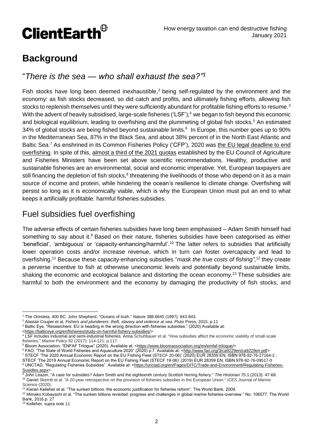

## **Background**

#### "*There is the sea — who shall exhaust the sea?"<sup>1</sup>*

Fish stocks have long been deemed inexhaustible,<sup>2</sup> being self-regulated by the environment and the economy: as fish stocks decreased, so did catch and profits, and ultimately fishing efforts, allowing fish stocks to replenish themselves until they were sufficiently abundant for profitable fishing efforts to resume.<sup>3</sup> With the advent of heavily subsidised, large-scale fisheries ('LSF'),<sup>4</sup> we began to fish beyond this economic and biological equilibrium, leading to overfishing and the plummeting of global fish stocks.<sup>5</sup> An estimated 34% of global stocks are being fished beyond sustainable limits.<sup>6</sup> In Europe, this number goes up to 90% in the Mediterranean Sea, 87% in the Black Sea, and about 38% percent of in the North East Atlantic and Baltic Sea.<sup>7</sup> As enshrined in its Common Fisheries Policy ('CFP'), 2020 was the EU legal deadline to end [overfishing.](https://www.clientearth.org/latest/latest-updates/opinions/eu-overfishing-deadline-missed-what-now/) In spite of this, [almost a third of the 2021 quotas](https://our.fish/press/agrifish-eu-decision-to-continue-overfishing-branded-shameful/) established by the EU Council of Agriculture and Fisheries Ministers have been set above scientific recommendations. Healthy, productive and sustainable fisheries are an environmental, social and economic imperative. Yet, European taxpayers are still financing the depletion of fish stocks,<sup>8</sup> threatening the livelihoods of those who depend on it as a main source of income and protein, while hindering the ocean's resilience to climate change. Overfishing will persist so long as it is economically viable, which is why the European Union must put an end to what keeps it artificially profitable: harmful fisheries subsidies.

## Fuel subsidies fuel overfishing

The adverse effects of certain fisheries subsidies have long been emphasised – Adam Smith himself had something to say about it.<sup>9</sup> Based on their nature, fisheries subsidies have been categorised as either 'beneficial', 'ambiguous' or 'capacity-enhancing/harmful'.<sup>10</sup> The latter refers to subsidies that artificially lower operation costs and/or increase revenue, which in turn can foster overcapacity and lead to overfishing.<sup>11</sup> Because these capacity-enhancing subsidies "*mask the true costs of fishing"*, <sup>12</sup> they create a perverse incentive to fish at otherwise uneconomic levels and potentially beyond sustainable limits, shaking the economic and ecological balance and distorting the ocean economy.<sup>13</sup> These subsidies are harmful to both the environment and the economy by damaging the productivity of fish stocks, and

 $\overline{a}$ 

<sup>1</sup> The *Oresteia,* 400 BC. John Shepherd, "Oceans of truth." *Nature* 388.6645 (1997): 843-843.

<sup>2</sup> Alastair Couper et al, *Fishers and plunderers: theft, slavery and violence at sea*. Pluto Press, 2015. p.11

<sup>3</sup> Baltic Eye, "Researchers: EU is heading in the wrong direction with fisheries subsidies." (2020) Available at:

[<sup>&</sup>lt;https://balticeye.org/en/fisheries/study-on-harmful-fishery-subsidies/>](https://balticeye.org/en/fisheries/study-on-harmful-fishery-subsidies/)

<sup>4</sup> LSF includes industrial and semi-industrial fisheries. Anna Schuhbauer et al. "How subsidies affect the economic viability of small-scale fisheries." *Marine Policy* 82 (2017): 114-121; p.117.

<sup>5</sup> Bloom Association, "ENFAF Trilogue" (2020). Available at: [<https://www.bloomassociation.org/en/emfaf-trilogue/>](https://www.bloomassociation.org/en/emfaf-trilogue/)

<sup>6</sup> FAO, "The State of World Fisheries and Aquaculture 2020" (2020) p.7. Available at: [<http://www.fao.org/3/ca9229en/ca9229en.pdf>](http://www.fao.org/3/ca9229en/ca9229en.pdf)

<sup>7</sup> STECF 'The 2020 Annual Economic Report on the EU Fishing Fleet (STECF 20-06)' (2020) EUR 28359 EN, ISBN 978-92-76-27164-2 ; STECF 'The 2019 Annual Economic Report on the EU Fishing Fleet (STECF 19-06)' (2019) EUR 28359 EN, ISBN 978-92-76-09517-0 8 UNCTAD, "Regulating Fisheries Subsidies". Available at: [<https://unctad.org/en/Pages/DITC/Trade-and-Environment/Regulating-Fisheries-](https://unctad.org/en/Pages/DITC/Trade-and-Environment/Regulating-Fisheries-Susidies.aspx)

[Susidies.aspx>](https://unctad.org/en/Pages/DITC/Trade-and-Environment/Regulating-Fisheries-Susidies.aspx) <sup>9</sup> John Leazer, "A case for subsidies? Adam Smith and the eighteenth century Scottish herring fishery." *The Historian* 75.1 (2013): 47-68.

<sup>10</sup> Daniel Skerritt et al. "A 20-year retrospective on the provision of fisheries subsidies in the European Union." *ICES Journal of Marine Science* (2020).

<sup>11</sup> Kieran Kelleher et al. "The sunken billions: the economic justification for fisheries reform". The World Bank, 2009.

<sup>&</sup>lt;sup>12</sup> Mimako Kobayashi et al. "The sunken billions revisited: progress and challenges in global marine fisheries-overview." No. 106577. The World Bank, 2016.p. 27

<sup>13</sup> Kelleher, supra note 11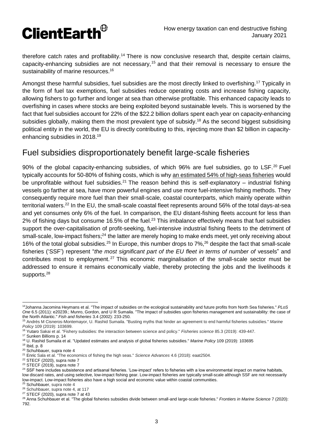

therefore catch rates and profitability.<sup>14</sup> There is now conclusive research that, despite certain claims, capacity-enhancing subsidies are not necessary,<sup>15</sup> and that their removal is necessary to ensure the sustainability of marine resources.<sup>16</sup>

Amongst these harmful subsidies, fuel subsidies are the most directly linked to overfishing.<sup>17</sup> Typically in the form of fuel tax exemptions, fuel subsidies reduce operating costs and increase fishing capacity, allowing fishers to go further and longer at sea than otherwise profitable. This enhanced capacity leads to overfishing in cases where stocks are being exploited beyond sustainable levels. This is worsened by the fact that fuel subsidies account for 22% of the \$22.2 billion dollars spent each year on capacity-enhancing subsidies globally, making them the most prevalent type of subsidy.<sup>18</sup> As the second biggest subsidising political entity in the world, the EU is directly contributing to this, injecting more than \$2 billion in capacityenhancing subsidies in 2018.<sup>19</sup>

## Fuel subsidies disproportionately benefit large-scale fisheries

90% of the global capacity-enhancing subsidies, of which 96% are fuel subsidies, go to LSF.<sup>20</sup> Fuel typically accounts for 50-80% of fishing costs, which is why [an estimated 54% of high-seas fisheries](https://advances.sciencemag.org/content/4/6/eaat2504) would be unprofitable without fuel subsidies.<sup>21</sup> The reason behind this is self-explanatory – industrial fishing vessels go farther at sea, have more powerful engines and use more fuel-intensive fishing methods. They consequently require more fuel than their small-scale, coastal counterparts, which mainly operate within territorial waters.<sup>22</sup> In the EU, the small-scale coastal fleet represents around 56% of the total days-at-sea and yet consumes only 6% of the fuel. In comparison, the EU distant-fishing fleets account for less than 2% of fishing days but consume 16.5% of the fuel.<sup>23</sup> This imbalance effectively means that fuel subsidies support the over-capitalisation of profit-seeking, fuel-intensive industrial fishing fleets to the detriment of small-scale, low-impact fishers;<sup>24</sup> the latter are merely hoping to make ends meet, yet only receiving about 16% of the total global subsidies.<sup>25</sup> In Europe, this number drops to 7%,<sup>26</sup> despite the fact that small-scale fisheries ('SSF') represent "*the most significant part of the EU fleet in terms of number of* vessels" and contributes most to employment. <sup>27</sup> This economic marginalisation of the small-scale sector must be addressed to ensure it remains economically viable, thereby protecting the jobs and the livelihoods it supports.<sup>28</sup>

 $\overline{a}$ <sup>14</sup>Johanna Jacomina Heymans et al. "The impact of subsidies on the ecological sustainability and future profits from North Sea fisheries." *PLoS One* 6.5 (2011): e20239.; Munro, Gordon, and U R Sumaila. "The impact of subsidies upon fisheries management and sustainability: the case of the North Atlantic." *Fish and fisheries* 3.4 (2002): 233-250.

<sup>15</sup> Andrés M Cisneros-Montemayor, U. Rashid Sumaila. "Busting myths that hinder an agreement to end harmful fisheries subsidies." *Marine Policy* 109 (2019): 103699.

<sup>16</sup> Yutaro Sakai et al. "Fishery subsidies: the interaction between science and policy." *Fisheries science* 85.3 (2019): 439-447.

<sup>17</sup> Sunken Billions p. 14

<sup>18</sup> U. Rashid Sumaila et al. "Updated estimates and analysis of global fisheries subsidies." *Marine Policy* 109 (2019): 103695

 $19$  Ibid, p. 8

<sup>20</sup> Schuhbauer, supra note 4

<sup>21</sup> Enric Sala et al. "The economics of fishing the high seas." *Science Advances* 4.6 (2018): eaat2504.

 $22$  STECF (2020), supra note 7

<sup>23</sup> STECF (2019), supra note 7

<sup>&</sup>lt;sup>24</sup> SSF here includes subsistence and artisanal fisheries. 'Low-impact' refers to fisheries with a low environmental impact on marine habitats, low discard rates, and using selective, low-impact fishing gear. Low-impact fisheries are typically small-scale although SSF are not necessarily low-impact. Low-impact fisheries also have a high social and economic value within coastal communities.

<sup>&</sup>lt;sup>25</sup> Schuhbauer, supra note 4

<sup>26</sup> Schuhbauer, supra note 4, at 117

 $27$  STECF (2020), supra note 7 at 43

<sup>28</sup> Anna Schuhbauer et al. "The global fisheries subsidies divide between small-and large-scale fisheries." *Frontiers in Marine Science* 7 (2020): 792.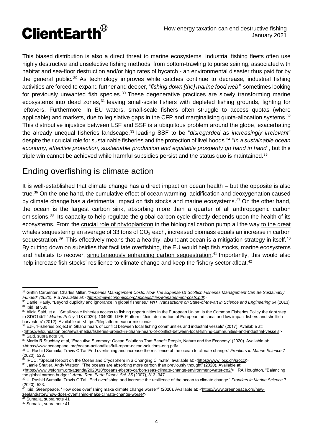

This biased distribution is also a direct threat to marine ecosystems. Industrial fishing fleets often use highly destructive and unselective fishing methods, from bottom-trawling to purse seining, associated with habitat and sea-floor destruction and/or high rates of bycatch - an environmental disaster thus paid for by the general public.<sup>29</sup> As technology improves while catches continue to decrease, industrial fishing activities are forced to expand further and deeper, "*fishing down [the] marine food web"*, sometimes looking for previously unwanted fish species.<sup>30</sup> These degenerative practices are slowly transforming marine ecosystems into dead zones.<sup>31</sup> leaving small-scale fishers with depleted fishing grounds, fighting for leftovers. Furthermore, In EU waters, small-scale fishers often struggle to access quotas (where applicable) and markets, due to legislative gaps in the CFP and marginalising quota-allocation systems.<sup>32</sup> This distributive injustice between LSF and SSF is a ubiquitous problem around the globe, exacerbating the already unequal fisheries landscape,<sup>33</sup> leading SSF to be "*disregarded as increasingly irrelevant*" despite their crucial role for sustainable fisheries and the protection of livelihoods.<sup>34</sup> "In a sustainable ocean *economy, effective protection, sustainable production and equitable prosperity go hand in hand*", but this triple win cannot be achieved while harmful subsidies persist and the status quo is maintained.<sup>35</sup>

## Ending overfishing is climate action

It is well-established that climate change has a direct impact on ocean health – but the opposite is also true.<sup>36</sup> On the one hand, the cumulative effect of ocean warming, acidification and deoxygenation caused by climate change has a detrimental impact on fish stocks and marine ecosystems.<sup>37</sup> On the other hand, the ocean is the [largest carbon sink,](https://www.clientearth.org/latest/latest-updates/stories/what-is-a-carbon-sink/) absorbing more than a quarter of all anthropogenic carbon emissions.<sup>38</sup> Its capacity to help regulate the global carbon cycle directly depends upon the health of its ecosystems. From the [crucial role of phytoplankton](https://theconversation.com/tiny-plankton-drive-processes-in-the-ocean-that-capture-twice-as-much-carbon-as-scientists-thought-136599) in the biological carbon pump all the way [to the great](https://www.weforum.org/agenda/2019/11/whales-carbon-capture-climate-change/)  whales sequestering an average of 33 tons of  $CO<sub>2</sub>$  each, increased biomass equals an increase in carbon sequestration.<sup>39</sup> This effectively means that a healthy, abundant ocean is a mitigation strategy in itself.<sup>40</sup> By cutting down on subsidies that facilitate overfishing, the EU would help fish stocks, marine ecosystems and habitats to recover, [simultaneously enhancing carbon sequestration.](https://www.clientearth.org/latest/latest-updates/stories/why-do-we-need-natural-carbon-sinks/)<sup>41</sup> Importantly, this would also help increase fish stocks' resilience to climate change and keep the fishery sector afloat.<sup>42</sup>

41 Sumaila, supra note 41

 <sup>29</sup> Griffin Carpenter, Charles Millar, *"Fisheries Management Costs: How The Expense Of Scottish Fisheries Management Can Be Sustainably Funded" (2020).* P.5 *Available at: [<https://neweconomics.org/uploads/files/Management-costs.pdf>](https://neweconomics.org/uploads/files/Management-costs.pdf)*

<sup>30</sup> Daniel Pauly, "Beyond duplicity and ignorance in global fisheries." *WIT Transactions on State-of-the-art in Science and Engineering* 64 (2013) <sup>31</sup> Ibid. at 530

<sup>32</sup> Alicia Said, et al. "Small-scale fisheries access to fishing opportunities in the European Union: Is the Common Fisheries Policy the right step to SDG14b?." *Marine Policy* 118 (2020): 104009; LIFE Platform, 'Joint declaration of European artisanal and low impact fishers and shellfish harvesters' (2012). Available at: [<https://lifeplatform.eu/our-mission/>](https://lifeplatform.eu/our-mission/)

<sup>33</sup> EJF, 'Fisheries project in Ghana hears of conflict between local fishing communities and industrial vessels' (2017). Available at:

[<sup>&</sup>lt;https://ejfoundation.org/news-media/fisheries-project-in-ghana-hears-of-conflict-between-local-fishing-communities-and-industrial-vessels>](https://ejfoundation.org/news-media/fisheries-project-in-ghana-hears-of-conflict-between-local-fishing-communities-and-industrial-vessels) <sup>34</sup> Said, supra note 34.

<sup>35</sup> Martin R Stuchtey et al, 'Executive Summary: Ocean Solutions That Benefit People, Nature and the Economy' (2020). Available at: [<https://www.oceanpanel.org/ocean-action/files/full-report-ocean-solutions-eng.pdf>](https://www.oceanpanel.org/ocean-action/files/full-report-ocean-solutions-eng.pdf)

<sup>36</sup> U. Rashid Sumaila, Travis C Tai 'End overfishing and increase the resilience of the ocean to climate change.' *Frontiers in Marine Science* 7 (2020): 523.

<sup>37</sup> IPCC, "Special Report on the Ocean and Cryosphere in a Changing Climate"**,** available at: [<https://www.ipcc.ch/srocc/>](https://www.ipcc.ch/srocc/)

<sup>38</sup> Jamie Shutler, Andy Watson, "The oceans are absorbing more carbon than previously thought" (2020). Available at: [<https://www.weforum.org/agenda/2020/10/oceans-absorb-carbon-seas-climate-change-environment-water-co2/>](https://www.weforum.org/agenda/2020/10/oceans-absorb-carbon-seas-climate-change-environment-water-co2/); RA Houghton, "Balancing the global carbon budget." *Annu. Rev. Earth Planet. Sci. 35* (2007), 313–347.

<sup>39</sup> U. Rashid Sumaila, Travis C Tai, 'End overfishing and increase the resilience of the ocean to climate change.' *Frontiers in Marine Science* 7 (2020): 523.

<sup>&</sup>lt;sup>40</sup> Ibid; Greenpeace, "How does overfishing make climate change worse?" (2020). Available at: <<u>https://www.greenpeace.org/new-</u> [zealand/story/how-does-overfishing-make-climate-change-worse/>](https://www.greenpeace.org/new-zealand/story/how-does-overfishing-make-climate-change-worse/)

<sup>42</sup> Sumaila, supra note 41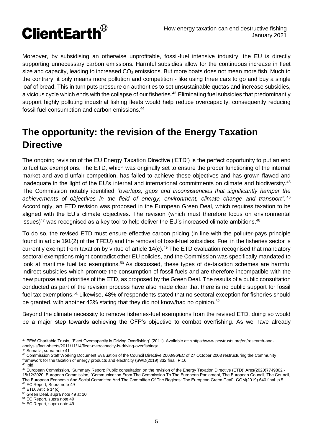

Moreover, by subsidising an otherwise unprofitable, fossil-fuel intensive industry, the EU is directly supporting unnecessary carbon emissions. Harmful subsidies allow for the continuous increase in fleet size and capacity, leading to increased  $CO<sub>2</sub>$  emissions. But more boats does not mean more fish. Much to the contrary, it only means more pollution and competition - like using three cars to go and buy a single loaf of bread. This in turn puts pressure on authorities to set unsustainable quotas and increase subsidies, a vicious cycle which ends with the collapse of our fisheries.<sup>43</sup> Eliminating fuel subsidies that predominantly support highly polluting industrial fishing fleets would help reduce overcapacity, consequently reducing fossil fuel consumption and carbon emissions.<sup>44</sup>

# **The opportunity: the revision of the Energy Taxation Directive**

The ongoing revision of the EU Energy Taxation Directive ('ETD') is the perfect opportunity to put an end to fuel tax exemptions. The ETD, which was originally set to ensure the proper functioning of the internal market and avoid unfair competition, has failed to achieve these objectives and has grown flawed and inadequate in the light of the EU's internal and international commitments on climate and biodiversity.<sup>45</sup> The Commission notably identified *"overlaps, gaps and inconsistencies that significantly hamper the achievements of objectives in the field of energy, environment, climate change and transport"*. 46 Accordingly, an ETD revision was proposed in the European Green Deal, which requires taxation to be aligned with the EU's climate objectives. The revision (which must therefore focus on environmental issues) $^{47}$  was recognised as a key tool to help deliver the EU's increased climate ambitions. $^{48}$ 

To do so, the revised ETD must ensure effective carbon pricing (in line with the polluter-pays principle found in article 191(2) of the TFEU) and the removal of fossil-fuel subsidies. Fuel in the fisheries sector is currently exempt from taxation by virtue of article  $14(c)$ .<sup>49</sup> The ETD evaluation recognised that mandatory sectoral exemptions might contradict other EU policies, and the Commission was specifically mandated to look at maritime fuel tax exemptions.<sup>50</sup> As discussed, these types of de-taxation schemes are harmful indirect subsidies which promote the consumption of fossil fuels and are therefore incompatible with the new purpose and priorities of the ETD, as proposed by the Green Deal. The results of a public consultation conducted as part of the revision process have also made clear that there is no public support for fossil fuel tax exemptions.<sup>51</sup> Likewise, 48% of respondents stated that no sectoral exception for fisheries should be granted, with another 43% stating that they did not know/had no opinion.<sup>52</sup>

Beyond the climate necessity to remove fisheries-fuel exemptions from the revised ETD, doing so would be a major step towards achieving the CFP's objective to combat overfishing. As we have already

 43 PEW Charitable Trusts, "Fleet Overcapacity is Driving Overfishing" (2011). Available at: [<https://www.pewtrusts.org/en/research-and](https://www.pewtrusts.org/en/research-and-analysis/fact-sheets/2011/11/14/fleet-overcapacity-is-driving-overfishing)[analysis/fact-sheets/2011/11/14/fleet-overcapacity-is-driving-overfishing>](https://www.pewtrusts.org/en/research-and-analysis/fact-sheets/2011/11/14/fleet-overcapacity-is-driving-overfishing)<br>analysis/fact-sheets/2011/11/14/fleet-overcapacity-is-driving-overfishing>

<sup>44</sup> Sumaila, supra note 41

<sup>45</sup> Commission Staff Working Document Evaluation of the Council Directive 2003/96/EC of 27 October 2003 restructuring the Community framework for the taxation of energy products and electricity {SWD(2019) 332 final. P.16

<sup>46</sup> Ibid.

<sup>47</sup> European Commission, 'Summary Report: Public consultation on the revision of the Energy Taxation Directive (ETD)' Ares(2020)7749862 -18/12/2020; European Commission, "Communication From The Commission To The European Parliament, The European Council, The Council, The European Economic And Social Committee And The Committee Of The Regions: The European Green Deal" COM(2019) 640 final. p.5

<sup>48</sup> EC Report, Supra note 49

<sup>49</sup> ETD, Article 14(c)

<sup>50</sup> Green Deal, supra note 49 at 10

<sup>51</sup> EC Report, supra note 49

<sup>52</sup> EC Report, supra note 49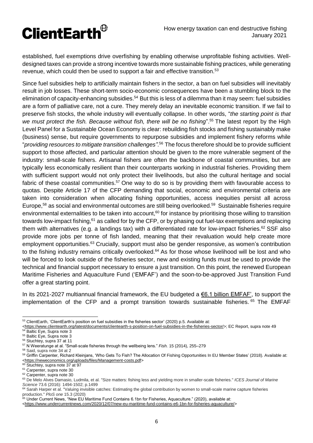

established, fuel exemptions drive overfishing by enabling otherwise unprofitable fishing activities. Welldesigned taxes can provide a strong incentive towards more sustainable fishing practices, while generating revenue, which could then be used to support a fair and effective transition.<sup>53</sup>

Since fuel subsidies help to artificially maintain fishers in the sector, a ban on fuel subsidies will inevitably result in job losses. These short-term socio-economic consequences have been a stumbling block to the elimination of capacity-enhancing subsidies.<sup>54</sup> But this is less of a dilemma than it may seem: fuel subsidies are a form of palliative care, not a cure. They merely delay an inevitable economic transition. If we fail to preserve fish stocks, the whole industry will eventually collapse. In other words, "*the starting point is that*  we must protect the fish. Because without fish, there will be no fishing".<sup>55</sup> The latest report by the High Level Panel for a Sustainable Ocean Economy is clear: rebuilding fish stocks and fishing sustainably make (business) sense, but require governments to repurpose subsidies and implement fishery reforms while "*providing resources to mitigate transition challenges"*. <sup>56</sup> The focus therefore should be to provide sufficient support to those affected, and particular attention should be given to the more vulnerable segment of the industry: small-scale fishers. Artisanal fishers are often the backbone of coastal communities, but are typically less economically resilient than their counterparts working in industrial fisheries. Providing them with sufficient support would not only protect their livelihoods, but also the cultural heritage and social fabric of these coastal communities.<sup>57</sup> One way to do so is by providing them with favourable access to quotas. Despite Article 17 of the CFP demanding that social, economic and environmental criteria are taken into consideration when allocating fishing opportunities, access inequities persist all across Europe,<sup>58</sup> as social and environmental outcomes are still being overlooked.<sup>59</sup> Sustainable fisheries require environmental externalities to be taken into account,<sup>60</sup> for instance by prioritising those willing to transition towards low-impact fishing,<sup>61</sup> as called for by the CFP, or by phasing out fuel-tax exemptions and replacing them with alternatives (e.g. a landings tax) with a differentiated rate for low-impact fisheries.<sup>62</sup> SSF also provide more jobs per tonne of fish landed, meaning that their revaluation would help create more employment opportunities.<sup>63</sup> Crucially, support must also be gender responsive, as women's contribution to the fishing industry remains critically overlooked.<sup>64</sup> As for those whose livelihood will be lost and who will be forced to look outside of the fisheries sector, new and existing funds must be used to provide the technical and financial support necessary to ensure a just transition. On this point, the renewed European Maritime Fisheries and Aquaculture Fund ('EMFAF') and the soon-to-be-approved Just Transition Fund offer a great starting point.

In its 2021-2027 multiannual financial framework, the EU budgeted a €6.1 billion EMFAF', to support the implementation of the CFP and a prompt transition towards sustainable fisheries. 65 The EMFAF

  $53$  ClientEarth, 'ClientEarth's position on fuel subsidies in the fisheries sector' (2020) p.5. Available at:

[<sup>&</sup>lt;https://www.clientearth.org/latest/documents/clientearth-s-position-on-fuel-subsidies-in-the-fisheries-sector/>](https://www.clientearth.org/latest/documents/clientearth-s-position-on-fuel-subsidies-in-the-fisheries-sector/); EC Report, supra note 49 <sup>54</sup> Baltic Eye, Supra note 3

<sup>55</sup> Baltic Eye, Supra note 3

<sup>56</sup> Stuchtey, supra 37 at 11

<sup>57</sup> N Weeratunge at al. "Small-scale fisheries through the wellbeing lens." *Fish.* 15 (2014), 255–279

<sup>58</sup> Said, supra note 34 at 2

<sup>59</sup> Griffin Carpenter, Richard Kleinjans, 'Who Gets To Fish? The Allocation Of Fishing Opportunities In EU Member States' (2018). Available at: [<https://neweconomics.org/uploads/files/Management-costs.pdf>](https://neweconomics.org/uploads/files/Management-costs.pdf)

<sup>60</sup> Stuchtey, supra note 37 at 97

<sup>&</sup>lt;sup>61</sup> Carpenter, supra note 30

<sup>62</sup> Carpenter, supra note 30

<sup>63</sup> De Melo Alves Damasio, Ludmila, et al. "Size matters: fishing less and yielding more in smaller-scale fisheries." *ICES Journal of Marine Science* 73.6 (2016): 1494-1502; p.1499

<sup>64</sup> Sarah Harper et al. "Valuing invisible catches: Estimating the global contribution by women to small-scale marine capture fisheries production." *PloS one* 15.3 (2020)

<sup>&</sup>lt;sup>65</sup> Under Current News, "New EU Maritime Fund Contains 6.1bn for Fisheries, Aquaculture." (2020), available at:

[<sup>&</sup>lt;https://www.undercurrentnews.com/2020/12/07/new-eu-maritime-fund-contains-e6-1bn-for-fisheries-aquaculture/>](https://www.undercurrentnews.com/2020/12/07/new-eu-maritime-fund-contains-e6-1bn-for-fisheries-aquaculture/)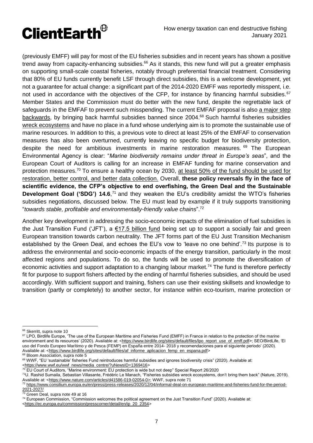

(previously EMFF) will pay for most of the EU fisheries subsidies and in recent years has shown a positive trend away from capacity-enhancing subsidies. $66$  As it stands, this new fund will put a greater emphasis on supporting small-scale coastal fisheries, notably through preferential financial treatment. Considering that 80% of EU funds currently benefit LSF through direct subsidies, this is a welcome development, yet not a guarantee for actual change: a significant part of the 2014-2020 EMFF was reportedly misspent, i.e. not used in accordance with the objectives of the CFP, for instance by financing harmful subsidies.<sup>67</sup> Member States and the Commission must do better with the new fund, despite the regrettable lack of safeguards in the EMFAF to prevent such misspending. The current EMFAF proposal is also a major step [backwards,](https://www.wwf.eu/wwf_news/media_centre/?uNewsID=1369416) by bringing back harmful subsidies banned since 2004.<sup>68</sup> Such harmful fisheries subsidies [wreck ecosystems](https://www.nature.com/articles/d41586-019-02054-0) and have no place in a fund whose underlying aim is to promote the sustainable use of marine resources. In addition to this, a previous vote to direct at least 25% of the EMFAF to conservation measures has also been overturned, currently leaving no specific budget for biodiversity protection, despite the need for ambitious investments in marine restoration measures. <sup>69</sup> The European Environmental Agency is clear: "*Marine biodiversity remains under threat in Europe's seas*", and the European Court of Auditors is calling for an increase in EMFAF funding for marine conservation and protection measures.<sup>70</sup> To ensure a healthy ocean by 2030, at least 50% of the [fund should be used for](https://www.documents.clientearth.org/wp-content/uploads/library/2020-01-28-blue-manifesto-the-roadmap-to-a-healthy-ocean-in-2030-coll-en.pdf)  [restoration, better control,](https://www.documents.clientearth.org/wp-content/uploads/library/2020-01-28-blue-manifesto-the-roadmap-to-a-healthy-ocean-in-2030-coll-en.pdf) and better data collection. Overall, **these policy reversals fly in the face of scientific evidence, the CFP's objective to end overfishing, the Green Deal and the Sustainable**  Development Goal ('SDG') 14.6,<sup>71</sup> and they weaken the EU's credibility amidst the WTO's fisheries subsidies negotiations, discussed below. The EU must lead by example if it truly supports transitioning "*towards stable, profitable and environmentally-friendly value chains*". 72

Another key development in addressing the socio-economic impacts of the elimination of fuel subsidies is the Just Transition Fund ('JFT'), a [€17.5 billion fund](https://ec.europa.eu/commission/presscorner/detail/en/ip_20_2354) being set up to support a socially fair and green European transition towards carbon neutrality. The JFT forms part of the EU Just Transition Mechanism established by the Green Deal, and echoes the EU's vow to 'leave no one behind'.<sup>73</sup> Its purpose is to address the environmental and socio-economic impacts of the energy transition, particularly in the most affected regions and populations. To do so, the funds will be used to promote the diversification of economic activities and support adaptation to a changing labour market.<sup>74</sup> The fund is therefore perfectly fit for purpose to support fishers affected by the ending of harmful fisheries subsidies, and should be used accordingly. With sufficient support and training, fishers can use their existing skillsets and knowledge to transition (partly or completely) to another sector, for instance within eco-tourism, marine protection or

<sup>67</sup> LPO, Birdlife Europe, 'The use of the European Maritime and Fisheries Fund (EMFF) in France in relation to the protection of the marine environment and its resources' (2020). Available at: [<https://www.birdlife.org/sites/default/files/lpo\\_report\\_use\\_of\\_emff.pdf>](https://www.birdlife.org/sites/default/files/lpo_report_use_of_emff.pdf); SEO/BirdLife, 'El uso del Fondo Europeo Marítimo y de Pesca (FEMP) en España entre 2014- 2018 y recomendaciones para el siguiente periodo' (2020). Available at: [<https://www.birdlife.org/sites/default/files/af\\_informe\\_aplicacion\\_femp\\_en\\_espana.pdf>](https://www.birdlife.org/sites/default/files/af_informe_aplicacion_femp_en_espana.pdf) <sup>68</sup> Bloom Association, supra note 5

[<https://www.wwf.eu/wwf\\_news/media\\_centre/?uNewsID=1369416>](https://www.wwf.eu/wwf_news/media_centre/?uNewsID=1369416)

<sup>&</sup>lt;sup>66</sup> Skerritt, supra note 10

<sup>69</sup> WWF, "EU 'sustainable' fisheries Fund reintroduces harmful subsidies and ignores biodiversity crisis" (2020). Available at:

<sup>&</sup>lt;sup>70</sup> EU Court of Auditors, "Marine environment: EU protection is wide but not deep" Special Report 26/2020

<sup>71</sup>U. Rashid Sumaila, Sebastian Villasante, Frédéric Le Manach, "Fisheries subsidies wreck ecosystems, don't bring them back" (Nature, 2019). Available at: [<https://www.nature.com/articles/d41586-019-02054-0>](https://www.nature.com/articles/d41586-019-02054-0); WWF, supra note 71 <sup>72</sup> [https://www.consilium.europa.eu/en/press/press-releases/2020/12/04/informal-deal-on-european-maritime-and-fisheries-fund-for-the-period-](https://www.consilium.europa.eu/en/press/press-releases/2020/12/04/informal-deal-on-european-maritime-and-fisheries-fund-for-the-period-2021-2027/)

[<sup>2021-2027/</sup>](https://www.consilium.europa.eu/en/press/press-releases/2020/12/04/informal-deal-on-european-maritime-and-fisheries-fund-for-the-period-2021-2027/)

<sup>&</sup>lt;sup>73</sup> Green Deal, supra note 49 at 16

<sup>&</sup>lt;sup>74</sup> European Commission, "Commission welcomes the political agreement on the Just Transition Fund" (2020). Available at:

[<sup>&</sup>lt;https://ec.europa.eu/commission/presscorner/detail/en/ip\\_20\\_2354>](https://ec.europa.eu/commission/presscorner/detail/en/ip_20_2354)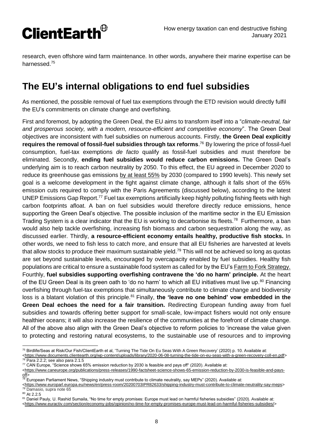

research, even offshore wind farm maintenance. In other words, anywhere their marine expertise can be harnessed.<sup>75</sup>

## **The EU's internal obligations to end fuel subsidies**

As mentioned, the possible removal of fuel tax exemptions through the ETD revision would directly fulfil the EU's commitments on climate change and overfishing.

First and foremost, by adopting the Green Deal, the EU aims to transform itself into a "*climate-neutral, fair and prosperous society, with a modern, resource-efficient and competitive economy*". The Green Deal objectives are inconsistent with fuel subsidies on numerous accounts. Firstly, **the Green Deal explicitly requires the removal of fossil-fuel subsidies through tax reforms**. <sup>76</sup> By lowering the price of fossil-fuel consumption, fuel-tax exemptions *de facto* qualify as fossil-fuel subsidies and must therefore be eliminated. Secondly, **ending fuel subsidies would reduce carbon emissions.** The Green Deal's underlying aim is to reach carbon neutrality by 2050. To this effect, the EU agreed in December 2020 to reduce its greenhouse gas emissions [by at least 55%](https://ec.europa.eu/clima/policies/strategies/2030_en) by 2030 (compared to 1990 levels). This newly set goal is a welcome development in the fight against climate change, although it falls short of the 65% emission cuts required to comply with the Paris Agreements (discussed below), according to the latest UNEP Emissions Gap Report.<sup>77</sup> Fuel tax exemptions artificially keep highly polluting fishing fleets with high carbon footprints afloat. A ban on fuel subsidies would therefore directly reduce emissions, hence supporting the Green Deal's objective. The possible inclusion of the maritime sector in the EU Emission Trading System is a clear indicator that the EU is working to decarbonise its fleets.<sup>78</sup> Furthermore, a ban would also help tackle overfishing, increasing fish biomass and carbon sequestration along the way, as discussed earlier. Thirdly, **a resource-efficient economy entails healthy, productive fish stocks.** In other words, we need to fish less to catch more, and ensure that all EU fisheries are harvested at levels that allow stocks to produce their maximum sustainable yield.<sup>79</sup> This will not be achieved so long as quotas are set beyond sustainable levels, encouraged by overcapacity enabled by fuel subsidies. Healthy fish populations are critical to ensure a sustainable food system as called for by the EU's [Farm to Fork Strategy.](https://ec.europa.eu/food/farm2fork_en) Fourthly, **fuel subsidies supporting overfishing contravene the 'do no harm' principle.** At the heart of the EU Green Deal is its green oath to 'do no harm' to which all EU initiatives must live up.<sup>80</sup> Financing overfishing through fuel-tax exemptions that simultaneously contribute to climate change and biodiversity loss is a blatant violation of this principle.<sup>81</sup> Finally, **the 'leave no one behind' vow embedded in the Green Deal echoes the need for a fair transition.** Redirecting European funding away from fuel subsidies and towards offering better support for small-scale, low-impact fishers would not only ensure healthier oceans; it will also increase the resilience of the communities at the forefront of climate change. All of the above also align with the Green Deal's objective to reform policies to 'increase the value given to protecting and restoring natural ecosystems, to the sustainable use of resources and to improving

<sup>80</sup> At 2.2.5

 $\overline{a}$ 

 $^{75}$  Birdlife/Seas at Risk/Our Fish/ClientEarth et al, 'Turning The Tide On Eu Seas With A Green Recovery' (2020) p. 10. Available at: [<https://www.documents.clientearth.org/wp-content/uploads/library/2020-06-08-turning-the-tide-on-eu-seas-with-a-green-recovery-coll-en.pdf>](https://www.documents.clientearth.org/wp-content/uploads/library/2020-06-08-turning-the-tide-on-eu-seas-with-a-green-recovery-coll-en.pdf) <sup>76</sup> Para 2.2.2; see also para 2.1.5

<sup>77</sup> CAN Europe, "Science shows 65% emission reduction by 2030 is feasible and pays off" (2020). Available at:

[<sup>&</sup>lt;https://www.caneurope.org/publications/press-releases/1990-factsheet-science-shows-65-emission-reduction-by-2030-is-feasible-and-pays-](https://www.caneurope.org/publications/press-releases/1990-factsheet-science-shows-65-emission-reduction-by-2030-is-feasible-and-pays-off) $off$ </u>

 $\frac{78}{78}$  European Parliament News, "Shipping industry must contribute to climate neutrality, say MEPs" (2020). Available at:

[<sup>&</sup>lt;https://www.europarl.europa.eu/news/en/press-room/20200703IPR82633/shipping-industry-must-contribute-to-climate-neutrality-say-meps>](https://www.europarl.europa.eu/news/en/press-room/20200703IPR82633/shipping-industry-must-contribute-to-climate-neutrality-say-meps) <sup>79</sup> Damasio, supra note 65

<sup>81</sup> Daniel Pauly, U. Rashid Sumaila, "No time for empty promises: Europe must lead on harmful fisheries subsidies" (2020). Available at: [<https://www.euractiv.com/section/economy-jobs/opinion/no-time-for-empty-promises-europe-must-lead-on-harmful-fisheries-subsidies/>](https://www.euractiv.com/section/economy-jobs/opinion/no-time-for-empty-promises-europe-must-lead-on-harmful-fisheries-subsidies/)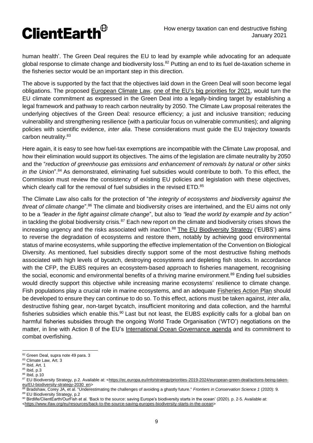

human health'. The Green Deal requires the EU to lead by example while advocating for an adequate global response to climate change and biodiversity loss.<sup>82</sup> Putting an end to its fuel de-taxation scheme in the fisheries sector would be an important step in this direction.

The above is supported by the fact that the objectives laid down in the Green Deal will soon become legal obligations. The proposed [European Climate Law,](https://ec.europa.eu/clima/policies/eu-climate-action/law_en) [one of the EU's](https://www.euractiv.com/section/energy-environment/news/deal-on-european-climate-law-is-big-priority-for-portugal-at-eu-helm/) [big priorities](https://www.euractiv.com/section/energy-environment/news/deal-on-european-climate-law-is-big-priority-for-portugal-at-eu-helm/) [for 2021,](https://www.euractiv.com/section/energy-environment/news/deal-on-european-climate-law-is-big-priority-for-portugal-at-eu-helm/) would turn the EU climate commitment as expressed in the Green Deal into a legally-binding target by establishing a legal framework and pathway to reach carbon neutrality by 2050. The Climate Law proposal reiterates the underlying objectives of the Green Deal: resource efficiency; a just and inclusive transition; reducing vulnerability and strengthening resilience (with a particular focus on vulnerable communities); and aligning policies with scientific evidence, *inter alia*. These considerations must guide the EU trajectory towards carbon neutrality.<sup>83</sup>

Here again, it is easy to see how fuel-tax exemptions are incompatible with the Climate Law proposal, and how their elimination would support its objectives. The aims of the legislation are climate neutrality by 2050 and the "*reduction of greenhouse gas emissions and enhancement of removals by natural or other sinks in the Union*". <sup>84</sup> As demonstrated, eliminating fuel subsidies would contribute to both. To this effect, the Commission must review the consistency of existing EU policies and legislation with these objectives, which clearly call for the removal of fuel subsidies in the revised ETD.<sup>85</sup>

The Climate Law also calls for the protection of "*the integrity of ecosystems and biodiversity against the*  threat of climate change".<sup>86</sup> The climate and biodiversity crises are intertwined, and the EU aims not only to be a *"leader in the fight against climate change*", but also to *"lead the world by example and by action"* in tackling the global biodiversity crisis.<sup>87</sup> Each new report on the climate and biodiversity crises shows the increasing urgency and the risks associated with inaction.<sup>88</sup> [The EU Biodiversity Strategy](https://ec.europa.eu/info/strategy/priorities-2019-2024/european-green-deal/actions-being-taken-eu/EU-biodiversity-strategy-2030_en) ('EUBS') aims to reverse the degradation of ecosystems and restore them, notably by achieving good environmental status of marine ecosystems, while supporting the effective implementation of the Convention on Biological Diversity. As mentioned, fuel subsidies directly support some of the most destructive fishing methods associated with high levels of bycatch, destroying ecosystems and depleting fish stocks. In accordance with the CFP, the EUBS requires an ecosystem-based approach to fisheries management, recognising the social, economic and environmental benefits of a thriving marine environment.<sup>89</sup> Ending fuel subsidies would directly support this objective while increasing marine ecosystems' resilience to climate change. Fish populations play a crucial role in marine ecosystems, and an adequate [Fisheries Action Plan](https://www.ifaw.org/eu/resources/back-to-the-source-saving-europes-biodiversity-starts-in-the-ocean) should be developed to ensure they can continue to do so. To this effect, actions must be taken against, *inter alia*, destructive fishing gear, non-target bycatch, insufficient monitoring and data collection, and the harmful fisheries subsidies which enable this.<sup>90</sup> Last but not least, the EUBS explicitly calls for a global ban on harmful fisheries subsidies through the ongoing World Trade Organisation ('WTO') negotiations on the matter, in line with Action 8 of the EU's [International Ocean Governance agenda](https://ec.europa.eu/maritimeaffairs/sites/maritimeaffairs/files/join-2016-49_en.pdf) and its commitment to combat overfishing.

<sup>&</sup>lt;sup>82</sup> Green Deal, supra note 49 para. 3

<sup>83</sup> Climate Law, Art. 3

<sup>84</sup> Ibid, Art. 1

<sup>85</sup> Ibid, p.3

<sup>86</sup> Ibid, p.10

<sup>87</sup> EU Biodiversity Strategy, p.2. Available at: [<https://ec.europa.eu/info/strategy/priorities-2019-2024/european-green-deal/actions-being-taken](https://ec.europa.eu/info/strategy/priorities-2019-2024/european-green-deal/actions-being-taken-eu/EU-biodiversity-strategy-2030_en)[eu/EU-biodiversity-strategy-2030\\_en>](https://ec.europa.eu/info/strategy/priorities-2019-2024/european-green-deal/actions-being-taken-eu/EU-biodiversity-strategy-2030_en)

<sup>88</sup> Bradshaw, Corey JA, et al. "Underestimating the challenges of avoiding a ghastly future." *Frontiers in Conservation Science 1* (2020): 9. 89 EU Biodiversity Strategy, p.2

<sup>90</sup> Birdlife/ClientEarth/OurFish et al. 'Back to the source: saving Europe's biodiversity starts in the ocean' (2020). p. 2-5. Available at: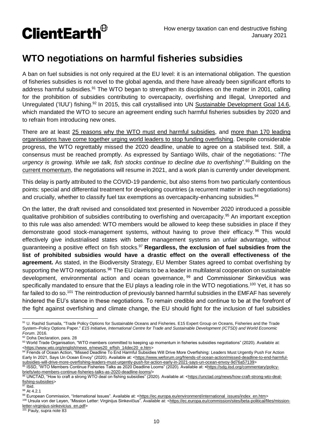

## **WTO negotiations on harmful fisheries subsidies**

A ban on fuel subsidies is not only required at the EU level: it is an international obligation. The question of fisheries subsidies is not novel to the global agenda, and there have already been significant efforts to address harmful subsidies.<sup>91</sup> The WTO began to strengthen its disciplines on the matter in 2001, calling for the prohibition of subsidies contributing to overcapacity, overfishing and Illegal, Unreported and Unregulated ('IUU') fishing.<sup>92</sup> In 2015, this call crystallised into UN [Sustainable Development Goal 14.6,](https://sdgs.un.org/goals/goal14) which mandated the WTO to secure an agreement ending such harmful fisheries subsidies by 2020 and to refrain from introducing new ones.

There are at least [25 reasons why the WTO must end harmful subsidies,](https://www.iisd.org/articles/25-reasons-wto-stop-funding-overfishing) and [more than 170 leading](https://stopfundingoverfishing.com/statement/)  [organisations have come together urging world leaders to stop funding overfishing.](https://stopfundingoverfishing.com/statement/) Despite considerable progress, the WTO regrettably missed the 2020 deadline, unable to agree on a stabilised text. Still, a consensus must be reached promptly. As expressed by Santiago Wills, chair of the negotiations: "*The urgency is growing. While we talk, fish stocks continue to decline due to overfishing*". <sup>93</sup> Building on the [current momentum,](https://www.wto.org/english/news_e/news20_e/fish_23mar20_e.htm) the negotiations will resume in 2021, and a work plan is currently under development.

This delay is partly attributed to the COVID-19 pandemic, but also stems from two particularly contentious points: special and differential treatment for developing countries (a recurrent matter in such negotiations) and crucially, whether to classify fuel tax exemptions as overcapacity-enhancing subsidies.<sup>94</sup>

On the latter, the draft revised and consolidated text presented in November 2020 introduced a possible qualitative prohibition of subsidies contributing to overfishing and overcapacity.<sup>95</sup> An important exception to this rule was also amended: WTO members would be allowed to keep these subsidies in place if they demonstrate good stock-management systems, without having to prove their efficacy. <sup>96</sup> This would effectively give industrialised states with better management systems an unfair advantage, without guaranteeing a positive effect on fish stocks.<sup>97</sup> **Regardless, the exclusion of fuel subsidies from the list of prohibited subsidies would have a drastic effect on the overall effectiveness of the agreement.** As stated, in the Biodiversity Strategy, EU Member States agreed to combat overfishing by supporting the WTO negotiations.<sup>98</sup> The EU claims to be a leader in multilateral cooperation on sustainable development, environmental action and ocean governance, <sup>99</sup> and Commissioner Sinkevičius was specifically mandated to ensure that the EU plays a leading role in the WTO negotiations.<sup>100</sup> Yet, it has so far failed to do so.<sup>101</sup> The reintroduction of previously banned harmful subsidies in the EMFAF has severely hindered the EU's stance in these negotiations. To remain credible and continue to be at the forefront of the fight against overfishing and climate change, the EU should fight for the inclusion of fuel subsidies

<sup>97</sup> Ibid.

98 At 4.2.1

 91 U. Rashid Sumaila, "Trade Policy Options for Sustainable Oceans and Fisheries. E15 Expert Group on Oceans, Fisheries and the Trade System–Policy Options Paper." *E15 Initiative, International Centre for Trade and Sustainable Development (ICTSD) and World Economic Forum*. 2016.

<sup>92</sup> Doha Declaration, para. 28

<sup>93</sup> World Trade Organisation, "WTO members committed to keeping up momentum in fisheries subsidies negotiations" (2020). Available at: [<https://www.wto.org/english/news\\_e/news20\\_e/fish\\_14dec20\\_e.htm>](https://www.wto.org/english/news_e/news20_e/fish_14dec20_e.htm)

<sup>94</sup> Friends of Ocean Action, "Missed Deadline To End Harmful Subsidies Will Drive More Overfishing: Leaders Must Urgently Push For Action Early In 2021, Says Un Ocean Envoy" (2020). Available at: [<https://www.weforum.org/friends-of-ocean-action/missed-deadline-to-end-harmful](https://www.weforum.org/friends-of-ocean-action/missed-deadline-to-end-harmful-subsidies-will-drive-more-overfishing-leaders-must-urgently-push-for-action-early-in-2021-says-un-ocean-envoy-9d76a57139)[subsidies-will-drive-more-overfishing-leaders-must-urgently-push-for-action-early-in-2021-says-un-ocean-envoy-9d76a57139>](https://www.weforum.org/friends-of-ocean-action/missed-deadline-to-end-harmful-subsidies-will-drive-more-overfishing-leaders-must-urgently-push-for-action-early-in-2021-says-un-ocean-envoy-9d76a57139)

<sup>95</sup> ISSD, "WTO Members Continue Fisheries Talks as 2020 Deadline Looms" (2020). Available at: **<**[https://sdg.iisd.org/commentary/policy](https://sdg.iisd.org/commentary/policy-briefs/wto-members-continue-fisheries-talks-as-2020-deadline-looms/)[briefs/wto-members-continue-fisheries-talks-as-2020-deadline-looms/>](https://sdg.iisd.org/commentary/policy-briefs/wto-members-continue-fisheries-talks-as-2020-deadline-looms/)

<sup>96</sup> UNCTAD, "How to craft a strong WTO deal on fishing subsidies" (2020). Available at: [<https://unctad.org/news/how-craft-strong-wto-deal](https://unctad.org/news/how-craft-strong-wto-deal-fishing-subsidies)[fishing-subsidies>](https://unctad.org/news/how-craft-strong-wto-deal-fishing-subsidies)

<sup>99</sup> European Commission, "International Issues". Available at: [<https://ec.europa.eu/environment/international\\_issues/index\\_en.htm>](https://ec.europa.eu/environment/international_issues/index_en.htm)

<sup>100</sup> Ursula von der Leyen, "Mission Letter: Virginijus Sinkevičius". Available at: <https://ec.europa.eu/commission/sites/beta-political/files/mission-<br>100 Ursula von der Leyen, "Mission Letter: Virginijus Sinkevičius". Ava [letter-virginijus-sinkevicius\\_en.pdf>](https://ec.europa.eu/commission/sites/beta-political/files/mission-letter-virginijus-sinkevicius_en.pdf)

Pauly, supra note 83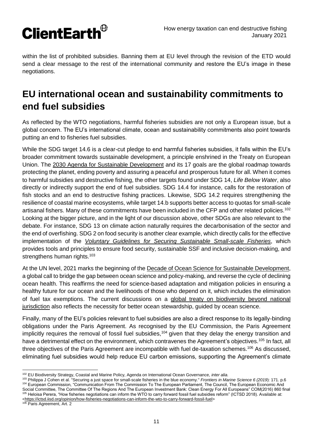

within the list of prohibited subsidies. Banning them at EU level through the revision of the ETD would send a clear message to the rest of the international community and restore the EU's image in these negotiations.

## **EU international ocean and sustainability commitments to end fuel subsidies**

As reflected by the WTO negotiations, harmful fisheries subsidies are not only a European issue, but a global concern. The EU's international climate, ocean and sustainability commitments also point towards putting an end to fisheries fuel subsidies.

While the SDG target 14.6 is a clear-cut pledge to end harmful fisheries subsidies, it falls within the EU's broader commitment towards sustainable development, a principle enshrined in the Treaty on European Union. The [2030 Agenda for Sustainable Development](https://sdgs.un.org/2030agenda) and its 17 goals are the global roadmap towards protecting the planet, ending poverty and assuring a peaceful and prosperous future for all. When it comes to harmful subsidies and destructive fishing, the other targets found under SDG 14, *Life Below Water*, also directly or indirectly support the end of fuel subsidies. SDG 14.4 for instance, calls for the restoration of fish stocks and an end to destructive fishing practices. Likewise, SDG 14.2 requires strengthening the resilience of coastal marine ecosystems, while target 14.b supports better access to quotas for small-scale artisanal fishers. Many of these commitments have been included in the CFP and other related policies.<sup>102</sup> Looking at the bigger picture, and in the light of our discussion above, other SDGs are also relevant to the debate. For instance, SDG 13 on climate action naturally requires the decarbonisation of the sector and the end of overfishing. SDG 2 on food security is another clear example, which directly calls for the effective implementation of the *[Voluntary Guidelines for Securing Sustainable Small-scale](http://www.fao.org/voluntary-guidelines-small-scale-fisheries/en/) Fisheries*, which provides tools and principles to ensure food security, sustainable SSF and inclusive decision-making, and strengthens human rights.<sup>103</sup>

At the UN level, 2021 marks the beginning of the [Decade of Ocean Science for Sustainable Development,](https://oceandecade.org/) a global call to bridge the gap between ocean science and policy-making, and reverse the cycle of declining ocean health. This reaffirms the need for science-based adaptation and mitigation policies in ensuring a healthy future for our ocean and the livelihoods of those who depend on it, which includes the elimination of fuel tax exemptions. The current discussions on a [global treaty on biodiversity beyond national](https://www.un.org/bbnj/)  [jurisdiction](https://www.un.org/bbnj/) also reflects the necessity for better ocean stewardship, guided by ocean science.

Finally, many of the EU's policies relevant to fuel subsidies are also a direct response to its legally-binding obligations under the Paris Agreement. As recognised by the EU Commission, the Paris Agreement implicitly requires the removal of fossil fuel subsidies,<sup>104</sup> given that they delay the energy transition and have a detrimental effect on the environment, which contravenes the Agreement's objectives.<sup>105</sup> In fact, all three objectives of the Paris Agreement are incompatible with fuel de-taxation schemes.<sup>106</sup> As discussed, eliminating fuel subsidies would help reduce EU carbon emissions, supporting the Agreement's climate

[<https://ictsd.iisd.org/opinion/how-fisheries-negotiations-can-inform-the-wto-to-carry-forward-fossil-fuel>](https://ictsd.iisd.org/opinion/how-fisheries-negotiations-can-inform-the-wto-to-carry-forward-fossil-fuel)

106 Paris Agreement, Art. 2

 <sup>102</sup> EU Biodiversity Strategy, Coastal and Marine Policy, Agenda on International Ocean Governance, *inter alia.*

<sup>103</sup> Philippa J Cohen et al. "Securing a just space for small-scale fisheries in the blue economy." *Frontiers in Marine Science 6 (2019*): 171. p.6 104 European Commission, "Communication From The Commission To The European Parliament, The Council, The European Economic And Social Committee, The Committee Of The Regions And The European Investment Bank: Clean Energy For All Europeans" COM(2016) 860 final <sup>105</sup> Heloisa Perera, "How fisheries negotiations can inform the WTO to carry forward fossil fuel subsidies reform" (ICTSD 2018). Available at: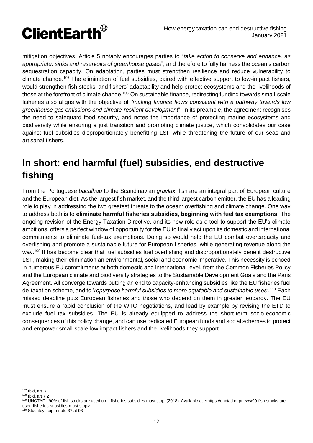

mitigation objectives. Article 5 notably encourages parties to "*take action to conserve and enhance, as appropriate, sinks and reservoirs of greenhouse gases*", and therefore to fully harness the ocean's carbon sequestration capacity. On adaptation, parties must strengthen resilience and reduce vulnerability to climate change.<sup>107</sup> The elimination of fuel subsidies, paired with effective support to low-impact fishers, would strengthen fish stocks' and fishers' adaptability and help protect ecosystems and the livelihoods of those at the forefront of climate change.<sup>108</sup> On sustainable finance, redirecting funding towards small-scale fisheries also aligns with the objective of *"making finance flows consistent with a pathway towards low greenhouse gas emissions and climate-resilient development*". In its preamble, the agreement recognises the need to safeguard food security, and notes the importance of protecting marine ecosystems and biodiversity while ensuring a just transition and promoting climate justice, which consolidates our case against fuel subsidies disproportionately benefitting LSF while threatening the future of our seas and artisanal fishers.

# **In short: end harmful (fuel) subsidies, end destructive fishing**

From the Portuguese *bacalhau* to the Scandinavian *gravlax*, fish are an integral part of European culture and the European diet. As the largest fish market, and the third largest carbon emitter, the EU has a leading role to play in addressing the two greatest threats to the ocean: overfishing and climate change. One way to address both is to **eliminate harmful fisheries subsidies, beginning with fuel tax exemptions**. The ongoing revision of the Energy Taxation Directive, and its new role as a tool to support the EU's climate ambitions, offers a perfect window of opportunity for the EU to finally act upon its domestic and international commitments to eliminate fuel-tax exemptions. Doing so would help the EU combat overcapacity and overfishing and promote a sustainable future for European fisheries, while generating revenue along the way.<sup>109</sup> It has become clear that fuel subsidies fuel overfishing and disproportionately benefit destructive LSF, making their elimination an environmental, social and economic imperative. This necessity is echoed in numerous EU commitments at both domestic and international level, from the Common Fisheries Policy and the European climate and biodiversity strategies to the Sustainable Development Goals and the Paris Agreement. All converge towards putting an end to capacity-enhancing subsidies like the EU fisheries fuel de-taxation scheme, and to '*repurpose harmful subsidies to more equitable and sustainable uses'.* <sup>110</sup> Each missed deadline puts European fisheries and those who depend on them in greater jeopardy. The EU must ensure a rapid conclusion of the WTO negotiations, and lead by example by revising the ETD to exclude fuel tax subsidies. The EU is already equipped to address the short-term socio-economic consequences of this policy change, and can use dedicated European funds and social schemes to protect and empower small-scale low-impact fishers and the livelihoods they support.

 <sup>107</sup> Ibid, art. 7

<sup>108</sup> Ibid, art 7.2

<sup>109</sup> UNCTAD, '90% of fish stocks are used up – fisheries subsidies must stop' (2018). Available at: [<https://unctad.org/news/90-fish-stocks-are](https://unctad.org/news/90-fish-stocks-are-used-fisheries-subsidies-must-stop)[used-fisheries-subsidies-must-stop>](https://unctad.org/news/90-fish-stocks-are-used-fisheries-subsidies-must-stop)

Stuchtey, supra note 37 at 93